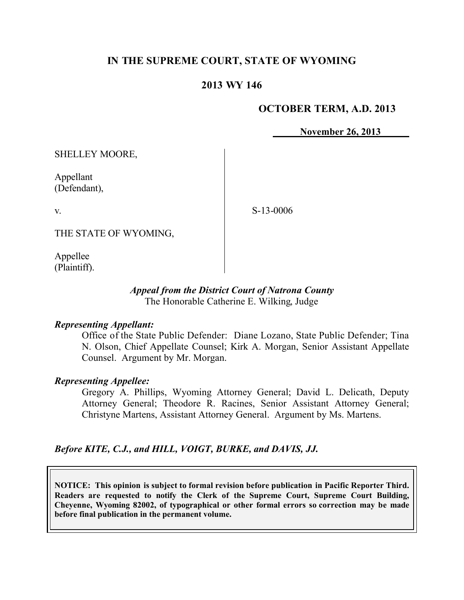# **IN THE SUPREME COURT, STATE OF WYOMING**

## **2013 WY 146**

### **OCTOBER TERM, A.D. 2013**

**November 26, 2013**

SHELLEY MOORE,

Appellant (Defendant),

v.

S-13-0006

THE STATE OF WYOMING,

Appellee (Plaintiff).

#### *Appeal from the District Court of Natrona County* The Honorable Catherine E. Wilking, Judge

#### *Representing Appellant:*

Office of the State Public Defender: Diane Lozano, State Public Defender; Tina N. Olson, Chief Appellate Counsel; Kirk A. Morgan, Senior Assistant Appellate Counsel. Argument by Mr. Morgan.

### *Representing Appellee:*

Gregory A. Phillips, Wyoming Attorney General; David L. Delicath, Deputy Attorney General; Theodore R. Racines, Senior Assistant Attorney General; Christyne Martens, Assistant Attorney General. Argument by Ms. Martens.

### *Before KITE, C.J., and HILL, VOIGT, BURKE, and DAVIS, JJ.*

**NOTICE: This opinion is subject to formal revision before publication in Pacific Reporter Third. Readers are requested to notify the Clerk of the Supreme Court, Supreme Court Building, Cheyenne, Wyoming 82002, of typographical or other formal errors so correction may be made before final publication in the permanent volume.**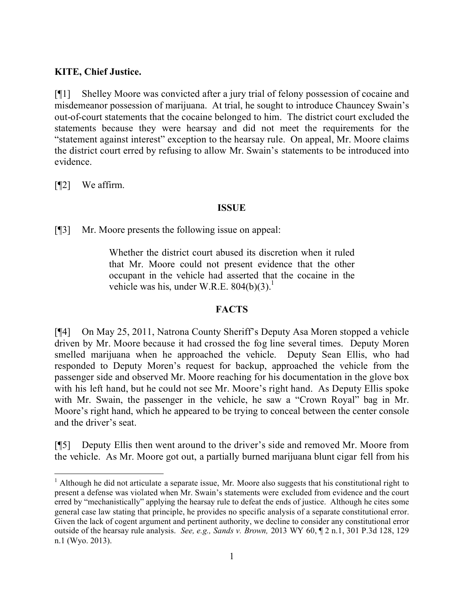## **KITE, Chief Justice.**

[¶1] Shelley Moore was convicted after a jury trial of felony possession of cocaine and misdemeanor possession of marijuana. At trial, he sought to introduce Chauncey Swain's out-of-court statements that the cocaine belonged to him. The district court excluded the statements because they were hearsay and did not meet the requirements for the "statement against interest" exception to the hearsay rule. On appeal, Mr. Moore claims the district court erred by refusing to allow Mr. Swain's statements to be introduced into evidence.

[¶2] We affirm.

 $\overline{a}$ 

## **ISSUE**

[¶3] Mr. Moore presents the following issue on appeal:

Whether the district court abused its discretion when it ruled that Mr. Moore could not present evidence that the other occupant in the vehicle had asserted that the cocaine in the vehicle was his, under W.R.E.  $804(b)(3)^{1}$ .

## **FACTS**

[¶4] On May 25, 2011, Natrona County Sheriff's Deputy Asa Moren stopped a vehicle driven by Mr. Moore because it had crossed the fog line several times. Deputy Moren smelled marijuana when he approached the vehicle. Deputy Sean Ellis, who had responded to Deputy Moren's request for backup, approached the vehicle from the passenger side and observed Mr. Moore reaching for his documentation in the glove box with his left hand, but he could not see Mr. Moore's right hand. As Deputy Ellis spoke with Mr. Swain, the passenger in the vehicle, he saw a "Crown Royal" bag in Mr. Moore's right hand, which he appeared to be trying to conceal between the center console and the driver's seat.

[¶5] Deputy Ellis then went around to the driver's side and removed Mr. Moore from the vehicle. As Mr. Moore got out, a partially burned marijuana blunt cigar fell from his

<sup>&</sup>lt;sup>1</sup> Although he did not articulate a separate issue, Mr. Moore also suggests that his constitutional right to present a defense was violated when Mr. Swain's statements were excluded from evidence and the court erred by "mechanistically" applying the hearsay rule to defeat the ends of justice. Although he cites some general case law stating that principle, he provides no specific analysis of a separate constitutional error. Given the lack of cogent argument and pertinent authority, we decline to consider any constitutional error outside of the hearsay rule analysis. *See, e.g., Sands v. Brown,* 2013 WY 60, ¶ 2 n.1, 301 P.3d 128, 129 n.1 (Wyo. 2013).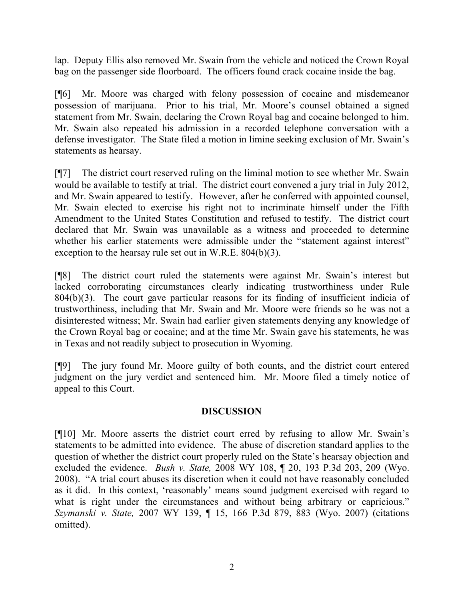lap. Deputy Ellis also removed Mr. Swain from the vehicle and noticed the Crown Royal bag on the passenger side floorboard. The officers found crack cocaine inside the bag.

[¶6] Mr. Moore was charged with felony possession of cocaine and misdemeanor possession of marijuana. Prior to his trial, Mr. Moore's counsel obtained a signed statement from Mr. Swain, declaring the Crown Royal bag and cocaine belonged to him. Mr. Swain also repeated his admission in a recorded telephone conversation with a defense investigator. The State filed a motion in limine seeking exclusion of Mr. Swain's statements as hearsay.

[¶7] The district court reserved ruling on the liminal motion to see whether Mr. Swain would be available to testify at trial. The district court convened a jury trial in July 2012, and Mr. Swain appeared to testify. However, after he conferred with appointed counsel, Mr. Swain elected to exercise his right not to incriminate himself under the Fifth Amendment to the United States Constitution and refused to testify. The district court declared that Mr. Swain was unavailable as a witness and proceeded to determine whether his earlier statements were admissible under the "statement against interest" exception to the hearsay rule set out in W.R.E. 804(b)(3).

[¶8] The district court ruled the statements were against Mr. Swain's interest but lacked corroborating circumstances clearly indicating trustworthiness under Rule 804(b)(3). The court gave particular reasons for its finding of insufficient indicia of trustworthiness, including that Mr. Swain and Mr. Moore were friends so he was not a disinterested witness; Mr. Swain had earlier given statements denying any knowledge of the Crown Royal bag or cocaine; and at the time Mr. Swain gave his statements, he was in Texas and not readily subject to prosecution in Wyoming.

[¶9] The jury found Mr. Moore guilty of both counts, and the district court entered judgment on the jury verdict and sentenced him. Mr. Moore filed a timely notice of appeal to this Court.

## **DISCUSSION**

[¶10] Mr. Moore asserts the district court erred by refusing to allow Mr. Swain's statements to be admitted into evidence. The abuse of discretion standard applies to the question of whether the district court properly ruled on the State's hearsay objection and excluded the evidence. *Bush v. State,* 2008 WY 108, ¶ 20, 193 P.3d 203, 209 (Wyo. 2008). "A trial court abuses its discretion when it could not have reasonably concluded as it did. In this context, 'reasonably' means sound judgment exercised with regard to what is right under the circumstances and without being arbitrary or capricious." *Szymanski v. State,* 2007 WY 139, ¶ 15, 166 P.3d 879, 883 (Wyo. 2007) (citations omitted).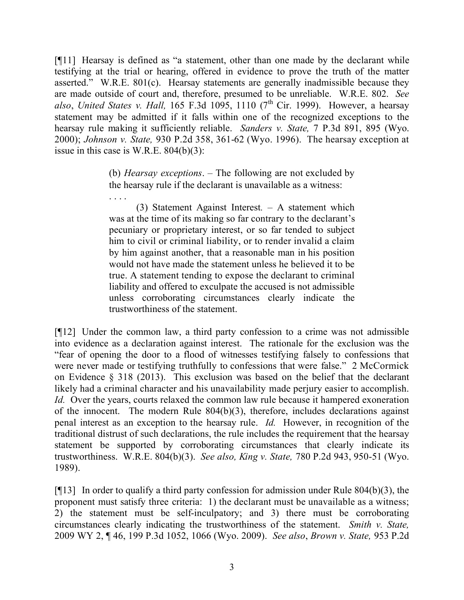[¶11] Hearsay is defined as "a statement, other than one made by the declarant while testifying at the trial or hearing, offered in evidence to prove the truth of the matter asserted." W.R.E. 801(c). Hearsay statements are generally inadmissible because they are made outside of court and, therefore, presumed to be unreliable. W.R.E. 802. *See*  also, *United States v. Hall*, 165 F.3d 1095, 1110 (7<sup>th</sup> Cir. 1999). However, a hearsay statement may be admitted if it falls within one of the recognized exceptions to the hearsay rule making it sufficiently reliable. *Sanders v. State,* 7 P.3d 891, 895 (Wyo. 2000); *Johnson v. State,* 930 P.2d 358, 361-62 (Wyo. 1996). The hearsay exception at issue in this case is W.R.E.  $804(b)(3)$ :

> (b) *Hearsay exceptions*. – The following are not excluded by the hearsay rule if the declarant is unavailable as a witness:

> . . . . (3) Statement Against Interest*.* – A statement which was at the time of its making so far contrary to the declarant's pecuniary or proprietary interest, or so far tended to subject him to civil or criminal liability, or to render invalid a claim by him against another, that a reasonable man in his position would not have made the statement unless he believed it to be true. A statement tending to expose the declarant to criminal liability and offered to exculpate the accused is not admissible unless corroborating circumstances clearly indicate the trustworthiness of the statement.

[¶12] Under the common law, a third party confession to a crime was not admissible into evidence as a declaration against interest. The rationale for the exclusion was the "fear of opening the door to a flood of witnesses testifying falsely to confessions that were never made or testifying truthfully to confessions that were false." 2 McCormick on Evidence § 318 (2013). This exclusion was based on the belief that the declarant likely had a criminal character and his unavailability made perjury easier to accomplish. *Id.* Over the years, courts relaxed the common law rule because it hampered exoneration of the innocent. The modern Rule 804(b)(3), therefore, includes declarations against penal interest as an exception to the hearsay rule. *Id.* However, in recognition of the traditional distrust of such declarations, the rule includes the requirement that the hearsay statement be supported by corroborating circumstances that clearly indicate its trustworthiness. W.R.E. 804(b)(3). *See also, King v. State,* 780 P.2d 943, 950-51 (Wyo. 1989).

[ $[13]$ ] In order to qualify a third party confession for admission under Rule 804(b)(3), the proponent must satisfy three criteria: 1) the declarant must be unavailable as a witness; 2) the statement must be self-inculpatory; and 3) there must be corroborating circumstances clearly indicating the trustworthiness of the statement. *Smith v. State,*  2009 WY 2, ¶ 46, 199 P.3d 1052, 1066 (Wyo. 2009). *See also*, *Brown v. State,* 953 P.2d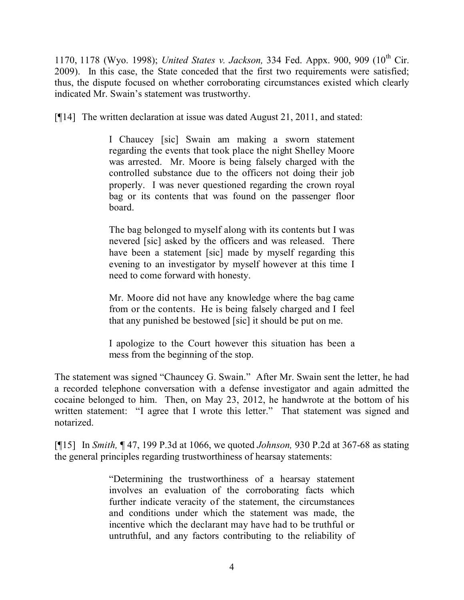1170, 1178 (Wyo. 1998); *United States v. Jackson*, 334 Fed. Appx. 900, 909 (10<sup>th</sup> Cir. 2009). In this case, the State conceded that the first two requirements were satisfied; thus, the dispute focused on whether corroborating circumstances existed which clearly indicated Mr. Swain's statement was trustworthy.

[¶14] The written declaration at issue was dated August 21, 2011, and stated:

I Chaucey [sic] Swain am making a sworn statement regarding the events that took place the night Shelley Moore was arrested. Mr. Moore is being falsely charged with the controlled substance due to the officers not doing their job properly. I was never questioned regarding the crown royal bag or its contents that was found on the passenger floor board.

The bag belonged to myself along with its contents but I was nevered [sic] asked by the officers and was released. There have been a statement [sic] made by myself regarding this evening to an investigator by myself however at this time I need to come forward with honesty.

Mr. Moore did not have any knowledge where the bag came from or the contents. He is being falsely charged and I feel that any punished be bestowed [sic] it should be put on me.

I apologize to the Court however this situation has been a mess from the beginning of the stop.

The statement was signed "Chauncey G. Swain." After Mr. Swain sent the letter, he had a recorded telephone conversation with a defense investigator and again admitted the cocaine belonged to him. Then, on May 23, 2012, he handwrote at the bottom of his written statement: "I agree that I wrote this letter." That statement was signed and notarized.

[¶15] In *Smith,* ¶ 47, 199 P.3d at 1066, we quoted *Johnson,* 930 P.2d at 367-68 as stating the general principles regarding trustworthiness of hearsay statements:

> "Determining the trustworthiness of a hearsay statement involves an evaluation of the corroborating facts which further indicate veracity of the statement, the circumstances and conditions under which the statement was made, the incentive which the declarant may have had to be truthful or untruthful, and any factors contributing to the reliability of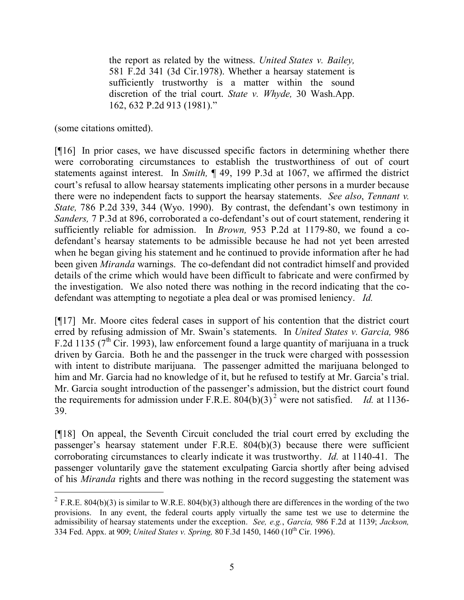the report as related by the witness. *United States v. Bailey,* 581 F.2d 341 (3d Cir.1978). Whether a hearsay statement is sufficiently trustworthy is a matter within the sound discretion of the trial court. *State v. Whyde,* 30 Wash.App. 162, 632 P.2d 913 (1981)."

(some citations omitted).

 $\overline{a}$ 

[¶16] In prior cases, we have discussed specific factors in determining whether there were corroborating circumstances to establish the trustworthiness of out of court statements against interest. In *Smith,* ¶ 49, 199 P.3d at 1067, we affirmed the district court's refusal to allow hearsay statements implicating other persons in a murder because there were no independent facts to support the hearsay statements. *See also*, *Tennant v. State,* 786 P.2d 339, 344 (Wyo. 1990). By contrast, the defendant's own testimony in *Sanders,* 7 P.3d at 896, corroborated a co-defendant's out of court statement, rendering it sufficiently reliable for admission. In *Brown,* 953 P.2d at 1179-80, we found a codefendant's hearsay statements to be admissible because he had not yet been arrested when he began giving his statement and he continued to provide information after he had been given *Miranda* warnings. The co-defendant did not contradict himself and provided details of the crime which would have been difficult to fabricate and were confirmed by the investigation. We also noted there was nothing in the record indicating that the codefendant was attempting to negotiate a plea deal or was promised leniency. *Id.* 

[¶17] Mr. Moore cites federal cases in support of his contention that the district court erred by refusing admission of Mr. Swain's statements. In *United States v. Garcia,* 986 F.2d 1135 ( $7<sup>th</sup>$  Cir. 1993), law enforcement found a large quantity of marijuana in a truck driven by Garcia. Both he and the passenger in the truck were charged with possession with intent to distribute marijuana. The passenger admitted the marijuana belonged to him and Mr. Garcia had no knowledge of it, but he refused to testify at Mr. Garcia's trial. Mr. Garcia sought introduction of the passenger's admission, but the district court found the requirements for admission under  $\overline{F}$ .R.E.  $\overline{804(b)(3)}^2$  were not satisfied. *Id.* at 1136-39.

[¶18] On appeal, the Seventh Circuit concluded the trial court erred by excluding the passenger's hearsay statement under F.R.E. 804(b)(3) because there were sufficient corroborating circumstances to clearly indicate it was trustworthy. *Id.* at 1140-41. The passenger voluntarily gave the statement exculpating Garcia shortly after being advised of his *Miranda* rights and there was nothing in the record suggesting the statement was

<sup>&</sup>lt;sup>2</sup> F.R.E. 804(b)(3) is similar to W.R.E. 804(b)(3) although there are differences in the wording of the two provisions. In any event, the federal courts apply virtually the same test we use to determine the admissibility of hearsay statements under the exception. *See, e.g.*, *Garcia,* 986 F.2d at 1139; *Jackson,*  334 Fed. Appx. at 909; *United States v. Spring,* 80 F.3d 1450, 1460 (10th Cir. 1996).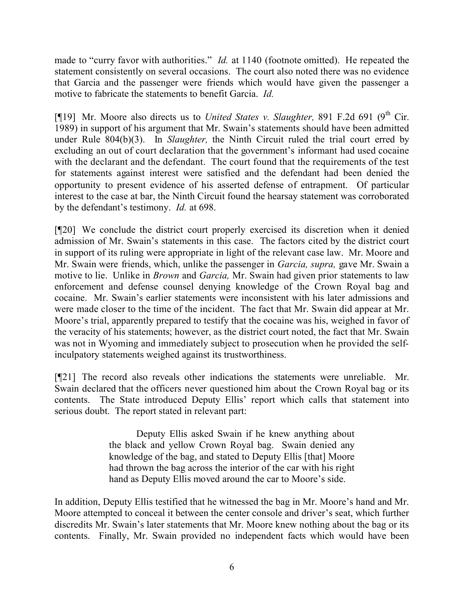made to "curry favor with authorities." *Id.* at 1140 (footnote omitted). He repeated the statement consistently on several occasions. The court also noted there was no evidence that Garcia and the passenger were friends which would have given the passenger a motive to fabricate the statements to benefit Garcia. *Id.* 

[¶19] Mr. Moore also directs us to *United States v. Slaughter*, 891 F.2d 691 (9<sup>th</sup> Cir. 1989) in support of his argument that Mr. Swain's statements should have been admitted under Rule 804(b)(3). In *Slaughter,* the Ninth Circuit ruled the trial court erred by excluding an out of court declaration that the government's informant had used cocaine with the declarant and the defendant. The court found that the requirements of the test for statements against interest were satisfied and the defendant had been denied the opportunity to present evidence of his asserted defense of entrapment. Of particular interest to the case at bar, the Ninth Circuit found the hearsay statement was corroborated by the defendant's testimony. *Id.* at 698.

[¶20] We conclude the district court properly exercised its discretion when it denied admission of Mr. Swain's statements in this case. The factors cited by the district court in support of its ruling were appropriate in light of the relevant case law. Mr. Moore and Mr. Swain were friends, which, unlike the passenger in *Garcia, supra,* gave Mr. Swain a motive to lie. Unlike in *Brown* and *Garcia,* Mr. Swain had given prior statements to law enforcement and defense counsel denying knowledge of the Crown Royal bag and cocaine. Mr. Swain's earlier statements were inconsistent with his later admissions and were made closer to the time of the incident. The fact that Mr. Swain did appear at Mr. Moore's trial, apparently prepared to testify that the cocaine was his, weighed in favor of the veracity of his statements; however, as the district court noted, the fact that Mr. Swain was not in Wyoming and immediately subject to prosecution when he provided the selfinculpatory statements weighed against its trustworthiness.

[¶21] The record also reveals other indications the statements were unreliable. Mr. Swain declared that the officers never questioned him about the Crown Royal bag or its contents. The State introduced Deputy Ellis' report which calls that statement into serious doubt. The report stated in relevant part:

> Deputy Ellis asked Swain if he knew anything about the black and yellow Crown Royal bag. Swain denied any knowledge of the bag, and stated to Deputy Ellis [that] Moore had thrown the bag across the interior of the car with his right hand as Deputy Ellis moved around the car to Moore's side.

In addition, Deputy Ellis testified that he witnessed the bag in Mr. Moore's hand and Mr. Moore attempted to conceal it between the center console and driver's seat, which further discredits Mr. Swain's later statements that Mr. Moore knew nothing about the bag or its contents. Finally, Mr. Swain provided no independent facts which would have been